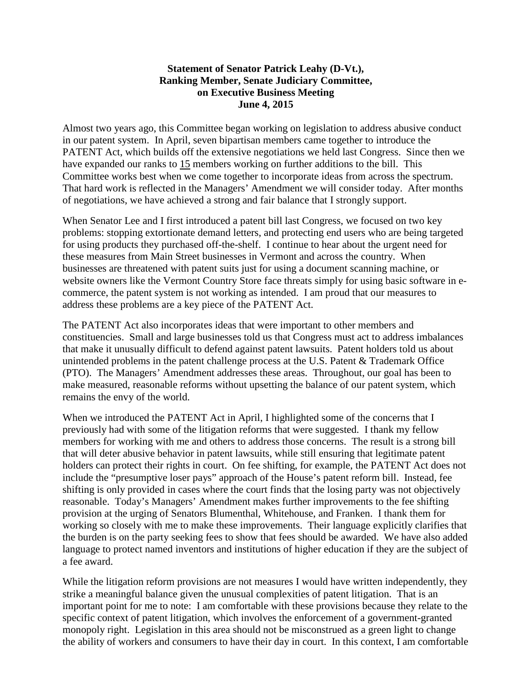## **Statement of Senator Patrick Leahy (D-Vt.), Ranking Member, Senate Judiciary Committee, on Executive Business Meeting June 4, 2015**

Almost two years ago, this Committee began working on legislation to address abusive conduct in our patent system. In April, seven bipartisan members came together to introduce the PATENT Act, which builds off the extensive negotiations we held last Congress. Since then we have expanded our ranks to 15 members working on further additions to the bill. This Committee works best when we come together to incorporate ideas from across the spectrum. That hard work is reflected in the Managers' Amendment we will consider today. After months of negotiations, we have achieved a strong and fair balance that I strongly support.

When Senator Lee and I first introduced a patent bill last Congress, we focused on two key problems: stopping extortionate demand letters, and protecting end users who are being targeted for using products they purchased off-the-shelf. I continue to hear about the urgent need for these measures from Main Street businesses in Vermont and across the country. When businesses are threatened with patent suits just for using a document scanning machine, or website owners like the Vermont Country Store face threats simply for using basic software in ecommerce, the patent system is not working as intended. I am proud that our measures to address these problems are a key piece of the PATENT Act.

The PATENT Act also incorporates ideas that were important to other members and constituencies. Small and large businesses told us that Congress must act to address imbalances that make it unusually difficult to defend against patent lawsuits. Patent holders told us about unintended problems in the patent challenge process at the U.S. Patent & Trademark Office (PTO). The Managers' Amendment addresses these areas. Throughout, our goal has been to make measured, reasonable reforms without upsetting the balance of our patent system, which remains the envy of the world.

When we introduced the PATENT Act in April, I highlighted some of the concerns that I previously had with some of the litigation reforms that were suggested. I thank my fellow members for working with me and others to address those concerns. The result is a strong bill that will deter abusive behavior in patent lawsuits, while still ensuring that legitimate patent holders can protect their rights in court. On fee shifting, for example, the PATENT Act does not include the "presumptive loser pays" approach of the House's patent reform bill. Instead, fee shifting is only provided in cases where the court finds that the losing party was not objectively reasonable. Today's Managers' Amendment makes further improvements to the fee shifting provision at the urging of Senators Blumenthal, Whitehouse, and Franken. I thank them for working so closely with me to make these improvements. Their language explicitly clarifies that the burden is on the party seeking fees to show that fees should be awarded. We have also added language to protect named inventors and institutions of higher education if they are the subject of a fee award.

While the litigation reform provisions are not measures I would have written independently, they strike a meaningful balance given the unusual complexities of patent litigation. That is an important point for me to note: I am comfortable with these provisions because they relate to the specific context of patent litigation, which involves the enforcement of a government-granted monopoly right. Legislation in this area should not be misconstrued as a green light to change the ability of workers and consumers to have their day in court. In this context, I am comfortable